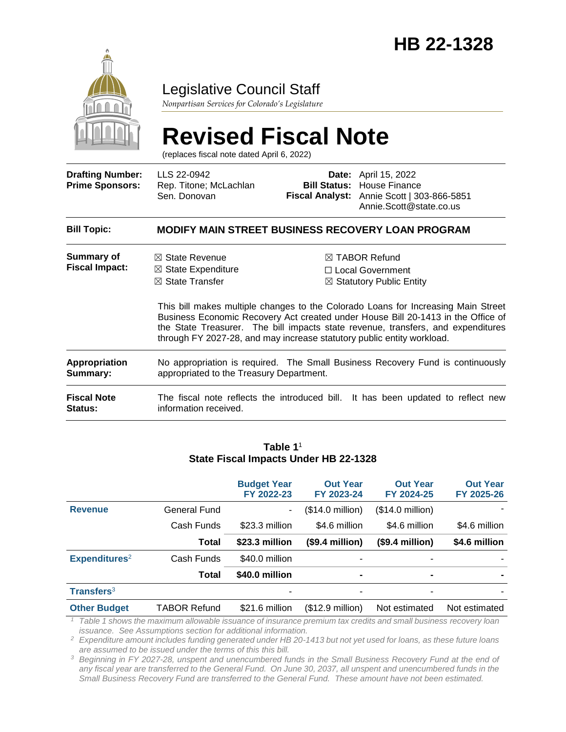

Legislative Council Staff

*Nonpartisan Services for Colorado's Legislature*

# **Revised Fiscal Note**

(replaces fiscal note dated April 6, 2022)

| <b>Drafting Number:</b><br><b>Prime Sponsors:</b> | LLS 22-0942<br>Rep. Titone; McLachlan<br>Sen. Donovan                                                                                                              |  | Date: April 15, 2022<br><b>Bill Status: House Finance</b><br>Fiscal Analyst: Annie Scott   303-866-5851<br>Annie.Scott@state.co.us                                                                                                                                                                                                       |  |  |  |  |  |
|---------------------------------------------------|--------------------------------------------------------------------------------------------------------------------------------------------------------------------|--|------------------------------------------------------------------------------------------------------------------------------------------------------------------------------------------------------------------------------------------------------------------------------------------------------------------------------------------|--|--|--|--|--|
| <b>Bill Topic:</b>                                | <b>MODIFY MAIN STREET BUSINESS RECOVERY LOAN PROGRAM</b>                                                                                                           |  |                                                                                                                                                                                                                                                                                                                                          |  |  |  |  |  |
| Summary of<br><b>Fiscal Impact:</b>               | $\boxtimes$ State Revenue<br>$\boxtimes$ State Expenditure<br>$\boxtimes$ State Transfer<br>through FY 2027-28, and may increase statutory public entity workload. |  | $\boxtimes$ TABOR Refund<br>□ Local Government<br>⊠ Statutory Public Entity<br>This bill makes multiple changes to the Colorado Loans for Increasing Main Street<br>Business Economic Recovery Act created under House Bill 20-1413 in the Office of<br>the State Treasurer. The bill impacts state revenue, transfers, and expenditures |  |  |  |  |  |
| <b>Appropriation</b><br>Summary:                  | No appropriation is required. The Small Business Recovery Fund is continuously<br>appropriated to the Treasury Department.                                         |  |                                                                                                                                                                                                                                                                                                                                          |  |  |  |  |  |
| <b>Fiscal Note</b><br>Status:                     | information received.                                                                                                                                              |  | The fiscal note reflects the introduced bill. It has been updated to reflect new                                                                                                                                                                                                                                                         |  |  |  |  |  |

#### **Table 1**<sup>1</sup> **State Fiscal Impacts Under HB 22-1328**

|                               |                     | <b>Budget Year</b><br>FY 2022-23 | <b>Out Year</b><br>FY 2023-24 | <b>Out Year</b><br>FY 2024-25 | <b>Out Year</b><br>FY 2025-26 |
|-------------------------------|---------------------|----------------------------------|-------------------------------|-------------------------------|-------------------------------|
| <b>Revenue</b>                | General Fund        | ۰                                | (\$14.0 million)              | $($14.0 \text{ million})$     |                               |
|                               | Cash Funds          | \$23.3 million                   | \$4.6 million                 | \$4.6 million                 | \$4.6 million                 |
|                               | <b>Total</b>        | \$23.3 million                   | $($9.4$ million)              | $($9.4$ million)              | \$4.6 million                 |
| Expenditures <sup>2</sup>     | Cash Funds          | \$40.0 million                   |                               |                               |                               |
|                               | Total               | \$40.0 million                   |                               | $\blacksquare$                |                               |
| <b>Transfers</b> <sup>3</sup> |                     |                                  |                               |                               |                               |
| <b>Other Budget</b>           | <b>TABOR Refund</b> | \$21.6 million                   | $($12.9$ million)             | Not estimated                 | Not estimated                 |

*<sup>1</sup> Table 1 shows the maximum allowable issuance of insurance premium tax credits and small business recovery loan issuance. See Assumptions section for additional information.*

*<sup>2</sup> Expenditure amount includes funding generated under HB 20-1413 but not yet used for loans, as these future loans are assumed to be issued under the terms of this this bill.* 

*<sup>3</sup> Beginning in FY 2027-28, unspent and unencumbered funds in the Small Business Recovery Fund at the end of any fiscal year are transferred to the General Fund. On June 30, 2037, all unspent and unencumbered funds in the Small Business Recovery Fund are transferred to the General Fund. These amount have not been estimated.*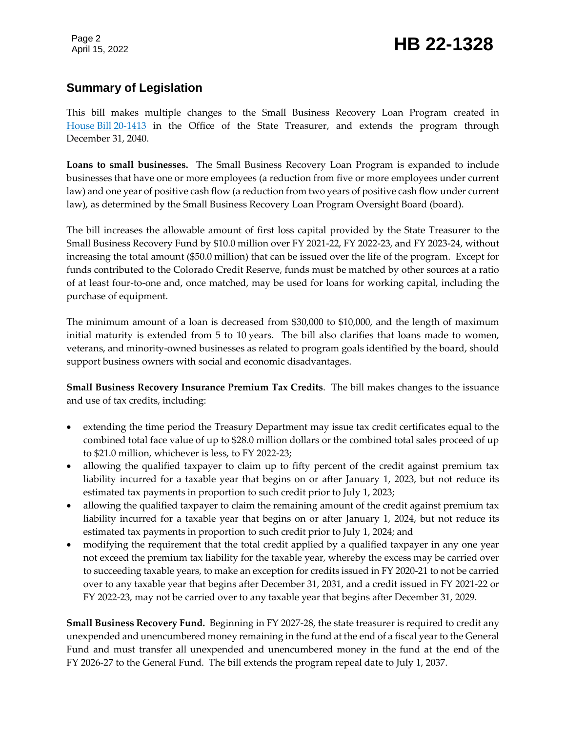Page 2

#### **Summary of Legislation**

This bill makes multiple changes to the Small Business Recovery Loan Program created in House Bill [20-1413](https://leg.colorado.gov/bills/hb20-1413) in the Office of the State Treasurer, and extends the program through December 31, 2040.

**Loans to small businesses.** The Small Business Recovery Loan Program is expanded to include businesses that have one or more employees (a reduction from five or more employees under current law) and one year of positive cash flow (a reduction from two years of positive cash flow under current law), as determined by the Small Business Recovery Loan Program Oversight Board (board).

The bill increases the allowable amount of first loss capital provided by the State Treasurer to the Small Business Recovery Fund by \$10.0 million over FY 2021-22, FY 2022-23, and FY 2023-24, without increasing the total amount (\$50.0 million) that can be issued over the life of the program. Except for funds contributed to the Colorado Credit Reserve, funds must be matched by other sources at a ratio of at least four-to-one and, once matched, may be used for loans for working capital, including the purchase of equipment.

The minimum amount of a loan is decreased from \$30,000 to \$10,000, and the length of maximum initial maturity is extended from 5 to 10 years. The bill also clarifies that loans made to women, veterans, and minority-owned businesses as related to program goals identified by the board, should support business owners with social and economic disadvantages.

**Small Business Recovery Insurance Premium Tax Credits**. The bill makes changes to the issuance and use of tax credits, including:

- extending the time period the Treasury Department may issue tax credit certificates equal to the combined total face value of up to \$28.0 million dollars or the combined total sales proceed of up to \$21.0 million, whichever is less, to FY 2022-23;
- allowing the qualified taxpayer to claim up to fifty percent of the credit against premium tax liability incurred for a taxable year that begins on or after January 1, 2023, but not reduce its estimated tax payments in proportion to such credit prior to July 1, 2023;
- allowing the qualified taxpayer to claim the remaining amount of the credit against premium tax liability incurred for a taxable year that begins on or after January 1, 2024, but not reduce its estimated tax payments in proportion to such credit prior to July 1, 2024; and
- modifying the requirement that the total credit applied by a qualified taxpayer in any one year not exceed the premium tax liability for the taxable year, whereby the excess may be carried over to succeeding taxable years, to make an exception for credits issued in FY 2020-21 to not be carried over to any taxable year that begins after December 31, 2031, and a credit issued in FY 2021-22 or FY 2022-23, may not be carried over to any taxable year that begins after December 31, 2029.

**Small Business Recovery Fund.** Beginning in FY 2027-28, the state treasurer is required to credit any unexpended and unencumbered money remaining in the fund at the end of a fiscal year to the General Fund and must transfer all unexpended and unencumbered money in the fund at the end of the FY 2026-27 to the General Fund. The bill extends the program repeal date to July 1, 2037.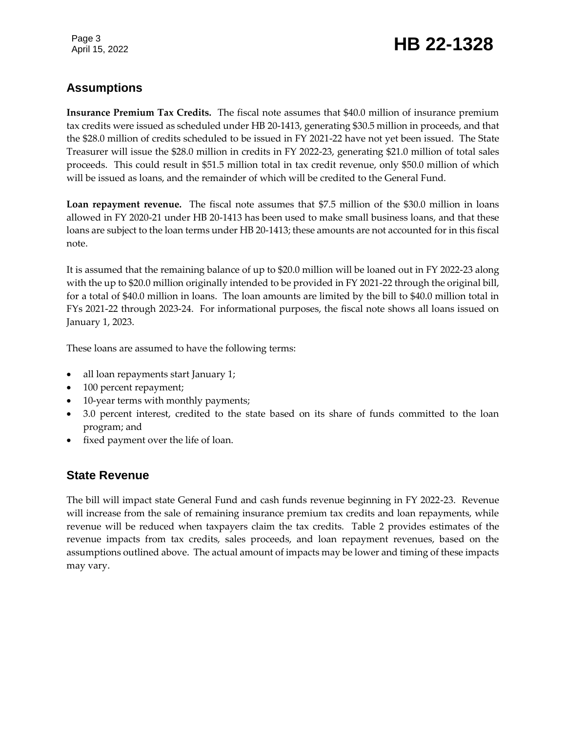Page 3

## Page 3<br>April 15, 2022 **HB 22-1328**

### **Assumptions**

**Insurance Premium Tax Credits.** The fiscal note assumes that \$40.0 million of insurance premium tax credits were issued as scheduled under HB 20-1413, generating \$30.5 million in proceeds, and that the \$28.0 million of credits scheduled to be issued in FY 2021-22 have not yet been issued. The State Treasurer will issue the \$28.0 million in credits in FY 2022-23, generating \$21.0 million of total sales proceeds. This could result in \$51.5 million total in tax credit revenue, only \$50.0 million of which will be issued as loans, and the remainder of which will be credited to the General Fund.

**Loan repayment revenue.** The fiscal note assumes that \$7.5 million of the \$30.0 million in loans allowed in FY 2020-21 under HB 20-1413 has been used to make small business loans, and that these loans are subject to the loan terms under HB 20-1413; these amounts are not accounted for in this fiscal note.

It is assumed that the remaining balance of up to \$20.0 million will be loaned out in FY 2022-23 along with the up to \$20.0 million originally intended to be provided in FY 2021-22 through the original bill, for a total of \$40.0 million in loans. The loan amounts are limited by the bill to \$40.0 million total in FYs 2021-22 through 2023-24. For informational purposes, the fiscal note shows all loans issued on January 1, 2023.

These loans are assumed to have the following terms:

- all loan repayments start January 1;
- 100 percent repayment;
- 10-year terms with monthly payments;
- 3.0 percent interest, credited to the state based on its share of funds committed to the loan program; and
- fixed payment over the life of loan.

#### **State Revenue**

The bill will impact state General Fund and cash funds revenue beginning in FY 2022-23. Revenue will increase from the sale of remaining insurance premium tax credits and loan repayments, while revenue will be reduced when taxpayers claim the tax credits. Table 2 provides estimates of the revenue impacts from tax credits, sales proceeds, and loan repayment revenues, based on the assumptions outlined above. The actual amount of impacts may be lower and timing of these impacts may vary.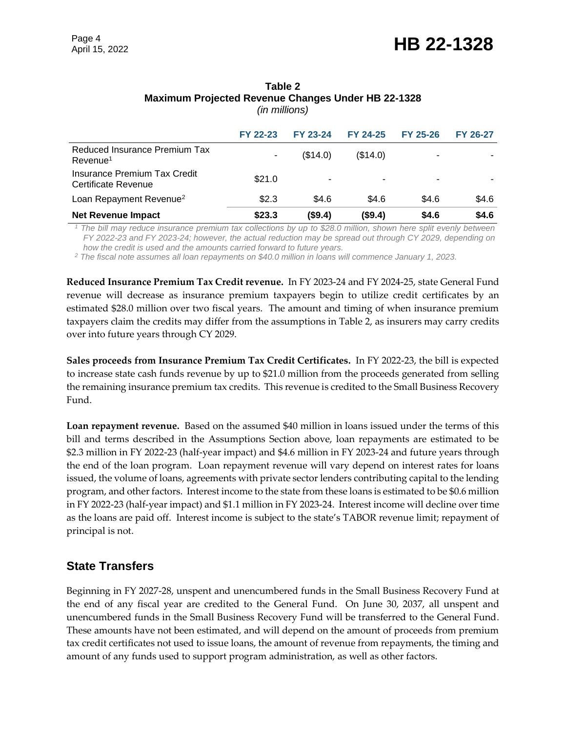|                                                       | FY 22-23 | <b>FY 23-24</b> | FY 24-25 | FY 25-26 | <b>FY 26-27</b> |
|-------------------------------------------------------|----------|-----------------|----------|----------|-----------------|
| Reduced Insurance Premium Tax<br>Revenue <sup>1</sup> |          | (S14.0)         | (S14.0)  | ۰        |                 |
| Insurance Premium Tax Credit<br>Certificate Revenue   | \$21.0   | ۰               |          |          |                 |
| Loan Repayment Revenue <sup>2</sup>                   | \$2.3    | \$4.6           | \$4.6    | \$4.6    | \$4.6           |
| <b>Net Revenue Impact</b>                             | \$23.3   | (\$9.4)         | (\$9.4)  | \$4.6    | \$4.6           |

#### **Table 2 Maximum Projected Revenue Changes Under HB 22-1328** *(in millions)*

*<sup>1</sup> The bill may reduce insurance premium tax collections by up to \$28.0 million, shown here split evenly between FY 2022-23 and FY 2023-24; however, the actual reduction may be spread out through CY 2029, depending on how the credit is used and the amounts carried forward to future years.*

*<sup>2</sup> The fiscal note assumes all loan repayments on \$40.0 million in loans will commence January 1, 2023.*

**Reduced Insurance Premium Tax Credit revenue.** In FY 2023-24 and FY 2024-25, state General Fund revenue will decrease as insurance premium taxpayers begin to utilize credit certificates by an estimated \$28.0 million over two fiscal years. The amount and timing of when insurance premium taxpayers claim the credits may differ from the assumptions in Table 2, as insurers may carry credits over into future years through CY 2029.

**Sales proceeds from Insurance Premium Tax Credit Certificates.** In FY 2022-23, the bill is expected to increase state cash funds revenue by up to \$21.0 million from the proceeds generated from selling the remaining insurance premium tax credits. This revenue is credited to the Small Business Recovery Fund.

**Loan repayment revenue.** Based on the assumed \$40 million in loans issued under the terms of this bill and terms described in the Assumptions Section above, loan repayments are estimated to be \$2.3 million in FY 2022-23 (half-year impact) and \$4.6 million in FY 2023-24 and future years through the end of the loan program. Loan repayment revenue will vary depend on interest rates for loans issued, the volume of loans, agreements with private sector lenders contributing capital to the lending program, and other factors. Interest income to the state from these loans is estimated to be \$0.6 million in FY 2022-23 (half-year impact) and \$1.1 million in FY 2023-24. Interest income will decline over time as the loans are paid off. Interest income is subject to the state's TABOR revenue limit; repayment of principal is not.

#### **State Transfers**

Beginning in FY 2027-28, unspent and unencumbered funds in the Small Business Recovery Fund at the end of any fiscal year are credited to the General Fund. On June 30, 2037, all unspent and unencumbered funds in the Small Business Recovery Fund will be transferred to the General Fund. These amounts have not been estimated, and will depend on the amount of proceeds from premium tax credit certificates not used to issue loans, the amount of revenue from repayments, the timing and amount of any funds used to support program administration, as well as other factors.